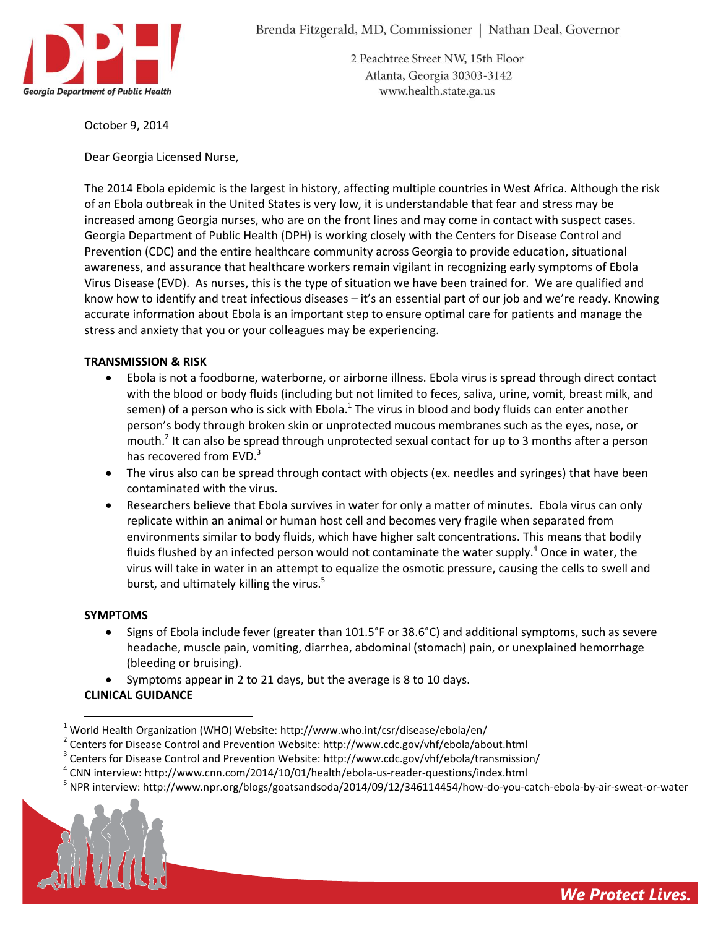

2 Peachtree Street NW, 15th Floor Atlanta, Georgia 30303-3142 www.health.state.ga.us

October 9, 2014

Dear Georgia Licensed Nurse,

The 2014 Ebola epidemic is the largest in history, affecting multiple countries in West Africa. Although the risk of an Ebola outbreak in the United States is very low, it is understandable that fear and stress may be increased among Georgia nurses, who are on the front lines and may come in contact with suspect cases. Georgia Department of Public Health (DPH) is working closely with the Centers for Disease Control and Prevention (CDC) and the entire healthcare community across Georgia to provide education, situational awareness, and assurance that healthcare workers remain vigilant in recognizing early symptoms of Ebola Virus Disease (EVD). As nurses, this is the type of situation we have been trained for. We are qualified and know how to identify and treat infectious diseases – it's an essential part of our job and we're ready. Knowing accurate information about Ebola is an important step to ensure optimal care for patients and manage the stress and anxiety that you or your colleagues may be experiencing.

## **TRANSMISSION & RISK**

- Ebola is not a foodborne, waterborne, or airborne illness. Ebola virus is spread through direct contact with the blood or body fluids (including but not limited to feces, saliva, urine, vomit, breast milk, and semen) of a person who is sick with Ebola.<sup>1</sup> The virus in blood and body fluids can enter another person's body through broken skin or unprotected mucous membranes such as the eyes, nose, or mouth.<sup>2</sup> It can also be spread through unprotected sexual contact for up to 3 months after a person has recovered from EVD.<sup>3</sup>
- The virus also can be spread through contact with objects (ex. needles and syringes) that have been contaminated with the virus.
- Researchers believe that Ebola survives in water for only a matter of minutes. Ebola virus can only replicate within an animal or human host cell and becomes very fragile when separated from environments similar to body fluids, which have higher salt concentrations. This means that bodily fluids flushed by an infected person would not contaminate the water supply.<sup>4</sup> Once in water, the virus will take in water in an attempt to equalize the osmotic pressure, causing the cells to swell and burst, and ultimately killing the virus.<sup>5</sup>

### **SYMPTOMS**

- Signs of Ebola include fever (greater than 101.5°F or 38.6°C) and additional symptoms, such as severe headache, muscle pain, vomiting, diarrhea, abdominal (stomach) pain, or unexplained hemorrhage (bleeding or bruising).
- Symptoms appear in 2 to 21 days, but the average is 8 to 10 days.

# **CLINICAL GUIDANCE**

- $^{2}$  Centers for Disease Control and Prevention Website: http://www.cdc.gov/vhf/ebola/about.html
- <sup>3</sup> Centers for Disease Control and Prevention Website: http://www.cdc.gov/vhf/ebola/transmission/
- 4 CNN interview: http://www.cnn.com/2014/10/01/health/ebola-us-reader-questions/index.html
- <sup>5</sup> NPR interview: http://www.npr.org/blogs/goatsandsoda/2014/09/12/346114454/how-do-you-catch-ebola-by-air-sweat-or-water



 $\overline{a}$  $1$  World Health Organization (WHO) Website: http://www.who.int/csr/disease/ebola/en/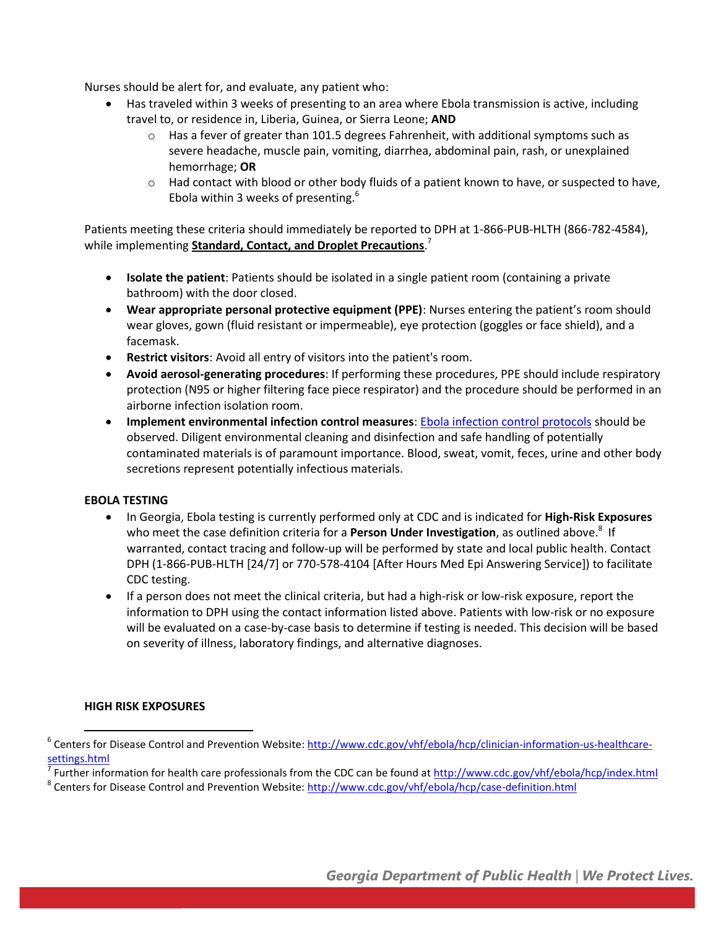Nurses should be alert for, and evaluate, any patient who:

- Has traveled within 3 weeks of presenting to an area where Ebola transmission is active, including travel to, or residence in, Liberia, Guinea, or Sierra Leone; **AND**
	- $\circ$  Has a fever of greater than 101.5 degrees Fahrenheit, with additional symptoms such as severe headache, muscle pain, vomiting, diarrhea, abdominal pain, rash, or unexplained hemorrhage; **OR**
	- $\circ$  Had contact with blood or other body fluids of a patient known to have, or suspected to have, Ebola within 3 weeks of presenting. $6$

Patients meeting these criteria should immediately be reported to DPH at 1-866-PUB-HLTH (866-782-4584), while implementing **Standard, Contact, and Droplet Precautions**. 7

- **Isolate the patient**: Patients should be isolated in a single patient room (containing a private bathroom) with the door closed.
- **Wear appropriate personal protective equipment (PPE)**: Nurses entering the patient's room should wear gloves, gown (fluid resistant or impermeable), eye protection (goggles or face shield), and a facemask.
- **Restrict visitors**: Avoid all entry of visitors into the patient's room.
- **Avoid aerosol-generating procedures**: If performing these procedures, PPE should include respiratory protection (N95 or higher filtering face piece respirator) and the procedure should be performed in an airborne infection isolation room.
- **Implement environmental infection control measures**[: Ebola infection control protocols](http://www.cdc.gov/vhf/ebola/hcp/infection-prevention-and-control-recommendations.html) should be observed. Diligent environmental cleaning and disinfection and safe handling of potentially contaminated materials is of paramount importance. Blood, sweat, vomit, feces, urine and other body secretions represent potentially infectious materials.

### **EBOLA TESTING**

- In Georgia, Ebola testing is currently performed only at CDC and is indicated for **High-Risk Exposures**  who meet the case definition criteria for a **Person Under Investigation**, as outlined above. 8 If warranted, contact tracing and follow-up will be performed by state and local public health. Contact DPH (1-866-PUB-HLTH [24/7] or 770-578-4104 [After Hours Med Epi Answering Service]) to facilitate CDC testing.
- If a person does not meet the clinical criteria, but had a high-risk or low-risk exposure, report the information to DPH using the contact information listed above. Patients with low-risk or no exposure will be evaluated on a case-by-case basis to determine if testing is needed. This decision will be based on severity of illness, laboratory findings, and alternative diagnoses.

### **HIGH RISK EXPOSURES**

l

<sup>&</sup>lt;sup>6</sup> Centers for Disease Control and Prevention Website: [http://www.cdc.gov/vhf/ebola/hcp/clinician-information-us-healthcare](http://www.cdc.gov/vhf/ebola/hcp/clinician-information-us-healthcare-settings.html)[settings.html](http://www.cdc.gov/vhf/ebola/hcp/clinician-information-us-healthcare-settings.html)

<sup>7</sup> Further information for health care professionals from the CDC can be found at<http://www.cdc.gov/vhf/ebola/hcp/index.html>

<sup>&</sup>lt;sup>8</sup> Centers for Disease Control and Prevention Website:<http://www.cdc.gov/vhf/ebola/hcp/case-definition.html>